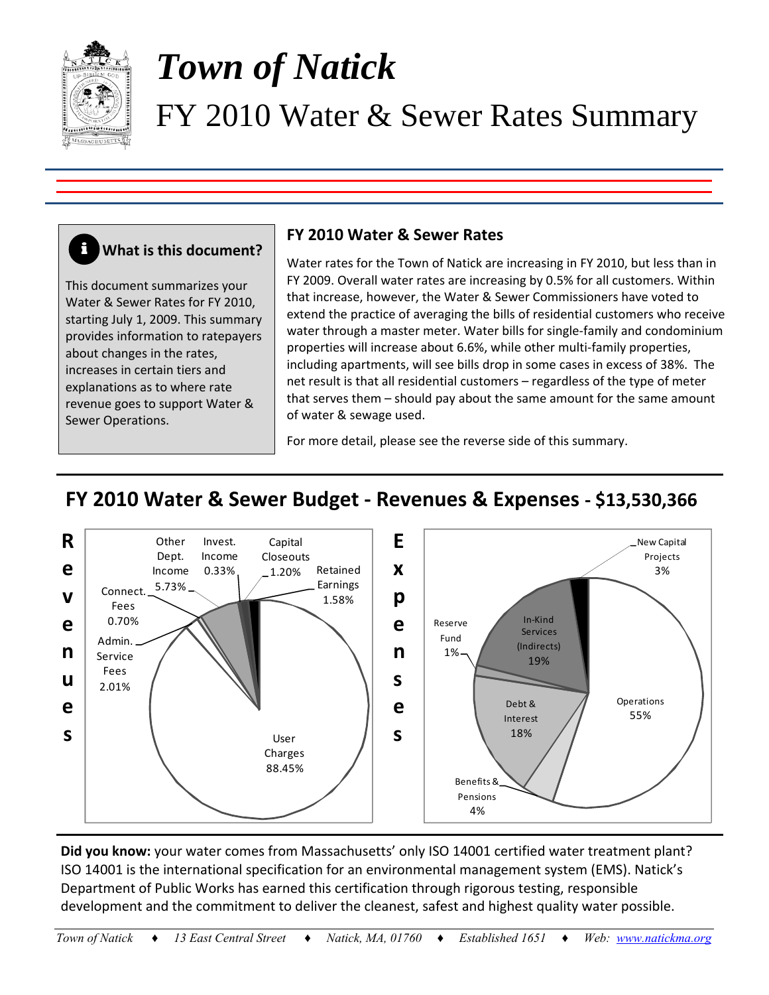

# *Town of Natick*  FY 2010 Water & Sewer Rates Summary

### **What is this document? i**

This document summarizes your Water & Sewer Rates for FY 2010, starting July 1, 2009. This summary provides information to ratepayers about changes in the rates, increases in certain tiers and explanations as to where rate revenue goes to support Water & Sewer Operations.

## **FY 2010 Water & Sewer Rates**

Water rates for the Town of Natick are increasing in FY 2010, but less than in FY 2009. Overall water rates are increasing by 0.5% for all customers. Within that increase, however, the Water & Sewer Commissioners have voted to extend the practice of averaging the bills of residential customers who receive water through a master meter. Water bills for single-family and condominium properties will increase about 6.6%, while other multi‐family properties, including apartments, will see bills drop in some cases in excess of 38%. The net result is that all residential customers – regardless of the type of meter that serves them – should pay about the same amount for the same amount of water & sewage used.

For more detail, please see the reverse side of this summary.

# **FY 2010 Water & Sewer Budget ‐ Revenues & Expenses ‐ \$13,530,366**



**Did you know:** your water comes from Massachusetts' only ISO 14001 certified water treatment plant? ISO 14001 is the international specification for an environmental management system (EMS). Natick's Department of Public Works has earned this certification through rigorous testing, responsible development and the commitment to deliver the cleanest, safest and highest quality water possible.